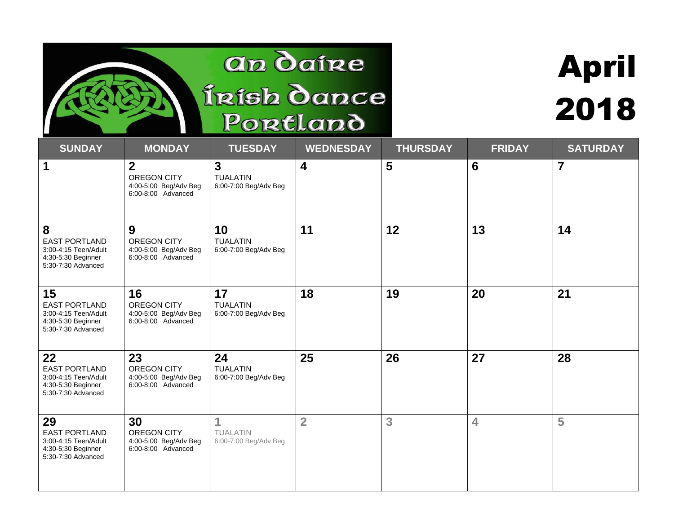#### an daire Írísh dance Portland

# April 2018

| <b>SUNDAY</b>                                                                                  | <b>MONDAY</b>                                                              | <b>TUESDAY</b>                                             | <b>WEDNESDAY</b>        | <b>THURSDAY</b> | <b>FRIDAY</b>           | <b>SATURDAY</b> |
|------------------------------------------------------------------------------------------------|----------------------------------------------------------------------------|------------------------------------------------------------|-------------------------|-----------------|-------------------------|-----------------|
| $\mathbf 1$                                                                                    | $\mathbf{2}$<br>OREGON CITY<br>4:00-5:00 Beg/Adv Beg<br>6:00-8:00 Advanced | $\overline{3}$<br><b>TUALATIN</b><br>6:00-7:00 Beg/Adv Beg | $\overline{\mathbf{4}}$ | 5               | $6\phantom{1}6$         | $\overline{7}$  |
| 8<br><b>EAST PORTLAND</b><br>3:00-4:15 Teen/Adult<br>4:30-5:30 Beginner<br>5:30-7:30 Advanced  | 9<br>OREGON CITY<br>4:00-5:00 Beg/Adv Beg<br>6:00-8:00 Advanced            | 10<br><b>TUALATIN</b><br>6:00-7:00 Beg/Adv Beg             | 11                      | 12              | 13                      | 14              |
| 15<br><b>EAST PORTLAND</b><br>3:00-4:15 Teen/Adult<br>4:30-5:30 Beginner<br>5:30-7:30 Advanced | 16<br>OREGON CITY<br>4:00-5:00 Beg/Adv Beg<br>6:00-8:00 Advanced           | 17<br><b>TUALATIN</b><br>6:00-7:00 Beg/Adv Beg             | 18                      | 19              | 20                      | 21              |
| 22<br><b>EAST PORTLAND</b><br>3:00-4:15 Teen/Adult<br>4:30-5:30 Beginner<br>5:30-7:30 Advanced | 23<br>OREGON CITY<br>4:00-5:00 Beg/Adv Beg<br>6:00-8:00 Advanced           | 24<br><b>TUALATIN</b><br>6:00-7:00 Beg/Adv Beg             | 25                      | 26              | 27                      | 28              |
| 29<br><b>EAST PORTLAND</b><br>3:00-4:15 Teen/Adult<br>4:30-5:30 Beginner<br>5:30-7:30 Advanced | 30<br>OREGON CITY<br>4:00-5:00 Beg/Adv Beg<br>6:00-8:00 Advanced           | 1<br><b>TUALATIN</b><br>6:00-7:00 Beg/Adv Beg              | $\overline{2}$          | 3               | $\overline{\mathbf{4}}$ | 5               |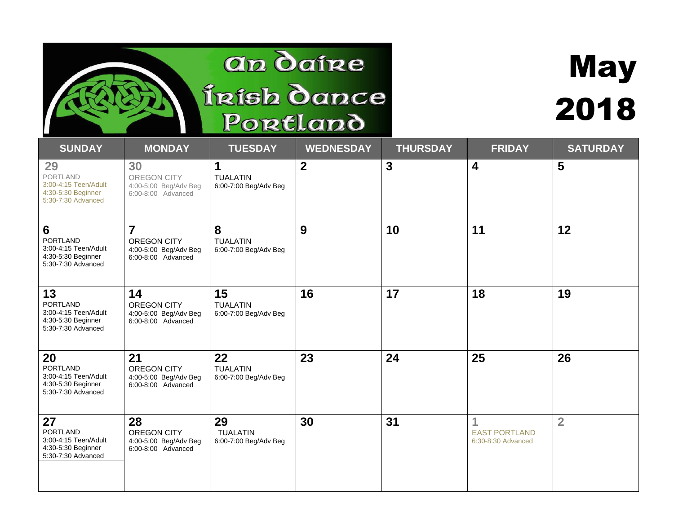### an daire Írísh dance Portland

## May 2018

| <b>SUNDAY</b>                                                                                         | <b>MONDAY</b>                                                                | <b>TUESDAY</b>                                 | <b>WEDNESDAY</b> | <b>THURSDAY</b> | <b>FRIDAY</b>                                   | <b>SATURDAY</b> |
|-------------------------------------------------------------------------------------------------------|------------------------------------------------------------------------------|------------------------------------------------|------------------|-----------------|-------------------------------------------------|-----------------|
| 29<br><b>PORTLAND</b><br>3:00-4:15 Teen/Adult<br>4:30-5:30 Beginner<br>5:30-7:30 Advanced             | 30<br>OREGON CITY<br>4:00-5:00 Beg/Adv Beg<br>6:00-8:00 Advanced             | 1<br><b>TUALATIN</b><br>6:00-7:00 Beg/Adv Beg  | $\overline{2}$   | $\mathbf{3}$    | $\overline{\mathbf{4}}$                         | 5               |
| $6\phantom{1}$<br><b>PORTLAND</b><br>3:00-4:15 Teen/Adult<br>4:30-5:30 Beginner<br>5:30-7:30 Advanced | $\overline{7}$<br>OREGON CITY<br>4:00-5:00 Beg/Adv Beg<br>6:00-8:00 Advanced | 8<br><b>TUALATIN</b><br>6:00-7:00 Beg/Adv Beg  | 9                | 10              | 11                                              | 12              |
| 13<br><b>PORTLAND</b><br>3:00-4:15 Teen/Adult<br>4:30-5:30 Beginner<br>5:30-7:30 Advanced             | 14<br>OREGON CITY<br>4:00-5:00 Beg/Adv Beg<br>6:00-8:00 Advanced             | 15<br><b>TUALATIN</b><br>6:00-7:00 Beg/Adv Beg | 16               | 17              | 18                                              | 19              |
| 20<br><b>PORTLAND</b><br>3:00-4:15 Teen/Adult<br>4:30-5:30 Beginner<br>5:30-7:30 Advanced             | 21<br>OREGON CITY<br>4:00-5:00 Beg/Adv Beg<br>6:00-8:00 Advanced             | 22<br><b>TUALATIN</b><br>6:00-7:00 Beg/Adv Beg | 23               | 24              | 25                                              | 26              |
| 27<br><b>PORTLAND</b><br>3:00-4:15 Teen/Adult<br>4:30-5:30 Beginner<br>5:30-7:30 Advanced             | 28<br>OREGON CITY<br>4:00-5:00 Beg/Adv Beg<br>6:00-8:00 Advanced             | 29<br><b>TUALATIN</b><br>6:00-7:00 Beg/Adv Beg | 30               | 31              | 1<br><b>EAST PORTLAND</b><br>6:30-8:30 Advanced | $\overline{2}$  |